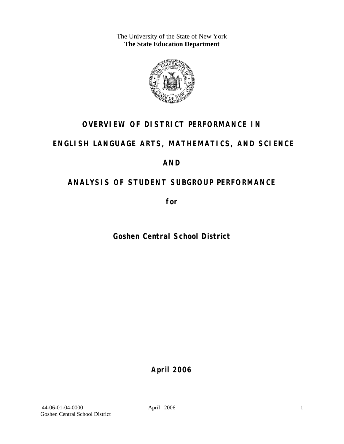The University of the State of New York **The State Education Department** 



## **OVERVIEW OF DISTRICT PERFORMANCE IN**

## **ENGLISH LANGUAGE ARTS, MATHEMATICS, AND SCIENCE**

## **AND**

## **ANALYSIS OF STUDENT SUBGROUP PERFORMANCE**

**for** 

**Goshen Central School District**

**April 2006**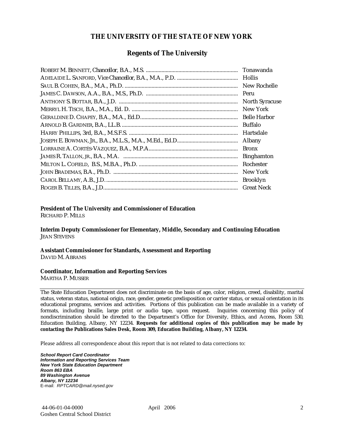#### **THE UNIVERSITY OF THE STATE OF NEW YORK**

#### **Regents of The University**

| Hollis                |
|-----------------------|
| New Rochelle          |
|                       |
| <b>North Syracuse</b> |
| New York              |
|                       |
| Buffalo               |
| Hartsdale             |
| Albany                |
| <b>Bronx</b>          |
| <b>Binghamton</b>     |
| Rochester             |
| New York              |
| <b>Brooklyn</b>       |
| <b>Great Neck</b>     |

#### **President of The University and Commissioner of Education**

RICHARD P. MILLS

**Interim Deputy Commissioner for Elementary, Middle, Secondary and Continuing Education**  JEAN STEVENS

#### **Assistant Commissioner for Standards, Assessment and Reporting**  DAVID M. ABRAMS

#### **Coordinator, Information and Reporting Services**

MARTHA P. MUSSER

The State Education Department does not discriminate on the basis of age, color, religion, creed, disability, marital status, veteran status, national origin, race, gender, genetic predisposition or carrier status, or sexual orientation in its educational programs, services and activities. Portions of this publication can be made available in a variety of formats, including braille, large print or audio tape, upon request. Inquiries concerning this policy of nondiscrimination should be directed to the Department's Office for Diversity, Ethics, and Access, Room 530, Education Building, Albany, NY 12234. **Requests for additional copies of this publication may be made by contacting the Publications Sales Desk, Room 309, Education Building, Albany, NY 12234.** 

Please address all correspondence about this report that is not related to data corrections to:

*School Report Card Coordinator Information and Reporting Services Team New York State Education Department Room 863 EBA 89 Washington Avenue Albany, NY 12234*  E-mail: *RPTCARD@mail.nysed.gov*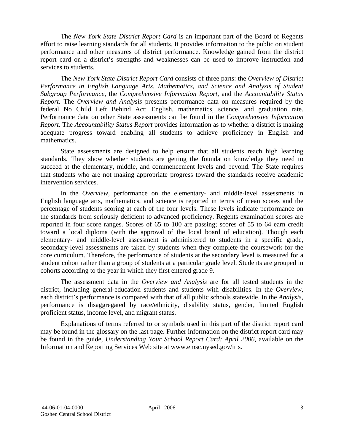The *New York State District Report Card* is an important part of the Board of Regents effort to raise learning standards for all students. It provides information to the public on student performance and other measures of district performance. Knowledge gained from the district report card on a district's strengths and weaknesses can be used to improve instruction and services to students.

The *New York State District Report Card* consists of three parts: the *Overview of District Performance in English Language Arts, Mathematics, and Science and Analysis of Student Subgroup Performance,* the *Comprehensive Information Report,* and the *Accountability Status Report.* The *Overview and Analysis* presents performance data on measures required by the federal No Child Left Behind Act: English, mathematics, science, and graduation rate. Performance data on other State assessments can be found in the *Comprehensive Information Report*. The *Accountability Status Report* provides information as to whether a district is making adequate progress toward enabling all students to achieve proficiency in English and mathematics.

State assessments are designed to help ensure that all students reach high learning standards. They show whether students are getting the foundation knowledge they need to succeed at the elementary, middle, and commencement levels and beyond. The State requires that students who are not making appropriate progress toward the standards receive academic intervention services.

In the *Overview*, performance on the elementary- and middle-level assessments in English language arts, mathematics, and science is reported in terms of mean scores and the percentage of students scoring at each of the four levels. These levels indicate performance on the standards from seriously deficient to advanced proficiency. Regents examination scores are reported in four score ranges. Scores of 65 to 100 are passing; scores of 55 to 64 earn credit toward a local diploma (with the approval of the local board of education). Though each elementary- and middle-level assessment is administered to students in a specific grade, secondary-level assessments are taken by students when they complete the coursework for the core curriculum. Therefore, the performance of students at the secondary level is measured for a student cohort rather than a group of students at a particular grade level. Students are grouped in cohorts according to the year in which they first entered grade 9.

The assessment data in the *Overview and Analysis* are for all tested students in the district, including general-education students and students with disabilities. In the *Overview*, each district's performance is compared with that of all public schools statewide. In the *Analysis*, performance is disaggregated by race/ethnicity, disability status, gender, limited English proficient status, income level, and migrant status.

Explanations of terms referred to or symbols used in this part of the district report card may be found in the glossary on the last page. Further information on the district report card may be found in the guide, *Understanding Your School Report Card: April 2006*, available on the Information and Reporting Services Web site at www.emsc.nysed.gov/irts.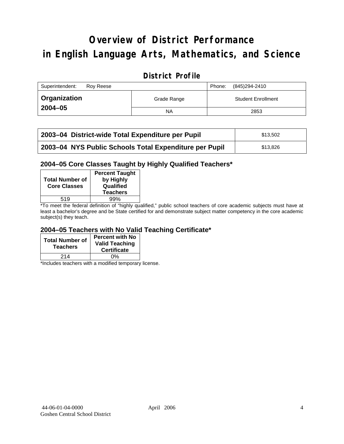# **Overview of District Performance in English Language Arts, Mathematics, and Science**

## **District Profile**

| Superintendent:<br>Rov Reese |             | (845)294-2410<br>Phone:   |
|------------------------------|-------------|---------------------------|
| <b>Organization</b>          | Grade Range | <b>Student Enrollment</b> |
| $2004 - 05$                  | ΝA          | 2853                      |

| 2003-04 District-wide Total Expenditure per Pupil      | \$13.502 |
|--------------------------------------------------------|----------|
| 2003-04 NYS Public Schools Total Expenditure per Pupil | \$13,826 |

#### **2004–05 Core Classes Taught by Highly Qualified Teachers\***

| <b>Total Number of</b><br><b>Core Classes</b> | <b>Percent Taught</b><br>by Highly<br>Qualified<br><b>Teachers</b> |
|-----------------------------------------------|--------------------------------------------------------------------|
| 519                                           | 99%                                                                |
|                                               |                                                                    |

\*To meet the federal definition of "highly qualified," public school teachers of core academic subjects must have at least a bachelor's degree and be State certified for and demonstrate subject matter competency in the core academic subject(s) they teach.

#### **2004–05 Teachers with No Valid Teaching Certificate\***

| <b>Total Number of</b><br><b>Teachers</b> | <b>Percent with No</b><br><b>Valid Teaching</b><br><b>Certificate</b> |
|-------------------------------------------|-----------------------------------------------------------------------|
| 214                                       | ሰ%                                                                    |

\*Includes teachers with a modified temporary license.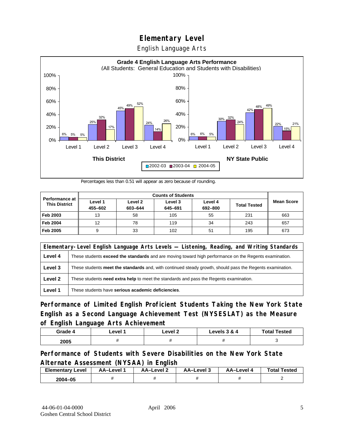English Language Arts



Percentages less than 0.51 will appear as zero because of rounding.

|                                        | <b>Counts of Students</b> |                    |                    |                    |                     |                   |
|----------------------------------------|---------------------------|--------------------|--------------------|--------------------|---------------------|-------------------|
| Performance at<br><b>This District</b> | Level 1<br>455-602        | Level 2<br>603-644 | Level 3<br>645-691 | Level 4<br>692-800 | <b>Total Tested</b> | <b>Mean Score</b> |
| Feb 2003                               | 13                        | 58                 | 105                | 55                 | 231                 | 663               |
| <b>Feb 2004</b>                        | 12                        | 78                 | 119                | 34                 | 243                 | 657               |
| Feb 2005                               | 9                         | 33                 | 102                | 51                 | 195                 | 673               |

|         | Elementary-Level English Language Arts Levels — Listening, Reading, and Writing Standards                     |
|---------|---------------------------------------------------------------------------------------------------------------|
| Level 4 | These students <b>exceed the standards</b> and are moving toward high performance on the Regents examination. |
| Level 3 | These students meet the standards and, with continued steady growth, should pass the Regents examination.     |
| Level 2 | These students need extra help to meet the standards and pass the Regents examination.                        |
| Level 1 | These students have serious academic deficiencies.                                                            |

**Performance of Limited English Proficient Students Taking the New York State English as a Second Language Achievement Test (NYSESLAT) as the Measure of English Language Arts Achievement**

| Grade 4 | ∟evel ′ | Level 2 | Levels 3 & 4 | <b>Total Tested</b> |
|---------|---------|---------|--------------|---------------------|
| 2005    |         |         |              |                     |

### **Performance of Students with Severe Disabilities on the New York State Alternate Assessment (NYSAA) in English**

| <b>Elementary Level</b> | AA-Level | AA-Level 2 | AA-Level 3 | AA–Level | <b>Total Tested</b> |
|-------------------------|----------|------------|------------|----------|---------------------|
| 2004-05                 |          |            |            |          |                     |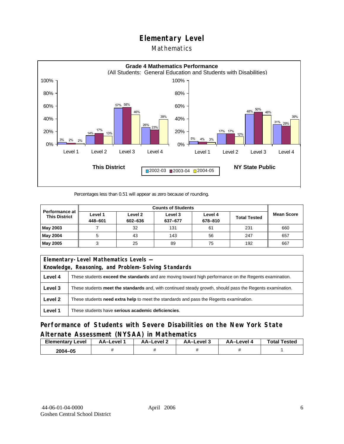### Mathematics



Percentages less than 0.51 will appear as zero because of rounding.

|                                               | <b>Counts of Students</b> |                    |                    |                    |                     |                   |
|-----------------------------------------------|---------------------------|--------------------|--------------------|--------------------|---------------------|-------------------|
| <b>Performance at</b><br><b>This District</b> | Level 1<br>448-601        | Level 2<br>602-636 | Level 3<br>637-677 | Level 4<br>678-810 | <b>Total Tested</b> | <b>Mean Score</b> |
| May 2003                                      |                           | 32                 | 131                | 61                 | 231                 | 660               |
| May 2004                                      |                           | 43                 | 143                | 56                 | 247                 | 657               |
| May 2005                                      |                           | 25                 | 89                 | 75                 | 192                 | 667               |

|         | Elementary-Level Mathematics Levels -                                                                         |  |  |  |
|---------|---------------------------------------------------------------------------------------------------------------|--|--|--|
|         | Knowledge, Reasoning, and Problem-Solving Standards                                                           |  |  |  |
| Level 4 | These students <b>exceed the standards</b> and are moving toward high performance on the Regents examination. |  |  |  |
| Level 3 | These students meet the standards and, with continued steady growth, should pass the Regents examination.     |  |  |  |
| Level 2 | These students <b>need extra help</b> to meet the standards and pass the Regents examination.                 |  |  |  |
| Level 1 | These students have serious academic deficiencies.                                                            |  |  |  |

**Performance of Students with Severe Disabilities on the New York State Alternate Assessment (NYSAA) in Mathematics** 

| <b>Elementary</b><br>Level | AA-Level | – AA–Level ∠ | د AA–Level | AA-Level 4 | <b>Total Tested</b> |
|----------------------------|----------|--------------|------------|------------|---------------------|
| 2004-05                    |          |              |            |            |                     |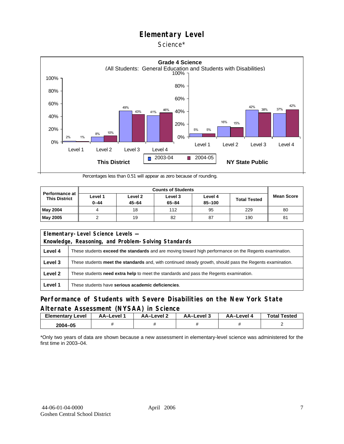#### Science\*



Percentages less than 0.51 will appear as zero because of rounding.

| <b>Performance at</b><br><b>This District</b> | Level 1<br>$0 - 44$ | Level 2<br>$45 - 64$ | Level 3<br>$65 - 84$ | Level 4<br>85-100 | <b>Total Tested</b> | <b>Mean Score</b> |
|-----------------------------------------------|---------------------|----------------------|----------------------|-------------------|---------------------|-------------------|
| <b>May 2004</b>                               |                     | 18                   | 112                  | 95                | 229                 | 80                |
| <b>May 2005</b>                               |                     | 19                   | 82                   | 87                | 190                 | 81                |

| Elementary-Level Science Levels -                   |                                                                                                               |  |  |  |
|-----------------------------------------------------|---------------------------------------------------------------------------------------------------------------|--|--|--|
| Knowledge, Reasoning, and Problem-Solving Standards |                                                                                                               |  |  |  |
| Level 4                                             | These students <b>exceed the standards</b> and are moving toward high performance on the Regents examination. |  |  |  |
| Level 3                                             | These students meet the standards and, with continued steady growth, should pass the Regents examination.     |  |  |  |
| Level 2                                             | These students <b>need extra help</b> to meet the standards and pass the Regents examination.                 |  |  |  |
| Level 1                                             | These students have serious academic deficiencies.                                                            |  |  |  |

### **Performance of Students with Severe Disabilities on the New York State Alternate Assessment (NYSAA) in Science**

| <b>Elementary Level</b> | <b>AA-Level 1</b> | – AA–Level ∠ | AA–Level 3 | AA-Level 4 | <b>Total Tested</b> |
|-------------------------|-------------------|--------------|------------|------------|---------------------|
| 2004-05                 |                   |              |            |            |                     |

\*Only two years of data are shown because a new assessment in elementary-level science was administered for the first time in 2003–04.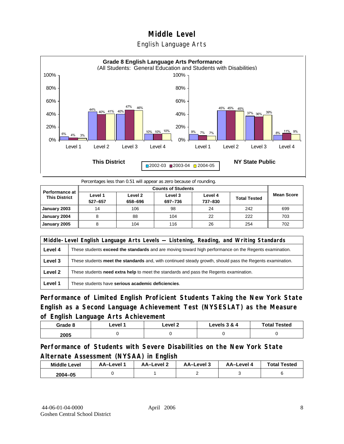



Percentages less than 0.51 will appear as zero because of rounding.

|                                               |                    | <b>Counts of Students</b> |                    |                    |                     |                   |  |  |  |
|-----------------------------------------------|--------------------|---------------------------|--------------------|--------------------|---------------------|-------------------|--|--|--|
| <b>Performance at</b><br><b>This District</b> | Level 1<br>527-657 | Level 2<br>658-696        | Level 3<br>697-736 | Level 4<br>737-830 | <b>Total Tested</b> | <b>Mean Score</b> |  |  |  |
| January 2003                                  | 14                 | 106                       | 98                 | 24                 | 242                 | 699               |  |  |  |
| January 2004                                  |                    | 88                        | 104                | 22                 | 222                 | 703               |  |  |  |
| January 2005                                  |                    | 104                       | 116                | 26                 | 254                 | 702               |  |  |  |

|         | Middle-Level English Language Arts Levels — Listening, Reading, and Writing Standards                     |  |  |  |  |
|---------|-----------------------------------------------------------------------------------------------------------|--|--|--|--|
| Level 4 | These students exceed the standards and are moving toward high performance on the Regents examination.    |  |  |  |  |
| Level 3 | These students meet the standards and, with continued steady growth, should pass the Regents examination. |  |  |  |  |
| Level 2 | These students need extra help to meet the standards and pass the Regents examination.                    |  |  |  |  |
| Level 1 | These students have serious academic deficiencies.                                                        |  |  |  |  |

**Performance of Limited English Proficient Students Taking the New York State English as a Second Language Achievement Test (NYSESLAT) as the Measure of English Language Arts Achievement**

| Grade 8 | ∟evel <i>*</i> | _evel 2 | Levels 3 & 4 | <b>Total Tested</b> |
|---------|----------------|---------|--------------|---------------------|
| 2005    |                |         |              |                     |

**Performance of Students with Severe Disabilities on the New York State Alternate Assessment (NYSAA) in English** 

| <b>Middle Level</b> | AA-Level | <b>AA-Level 2</b> | AA-Level 3 | AA–Level 4 | <b>Total Tested</b> |
|---------------------|----------|-------------------|------------|------------|---------------------|
| $2004 - 05$         |          |                   |            |            |                     |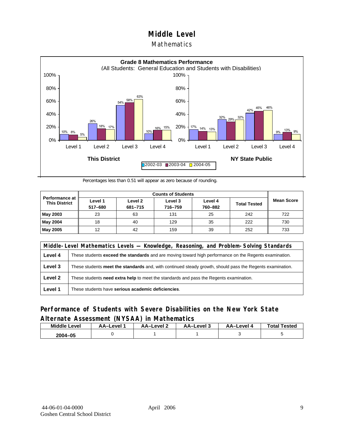#### **Mathematics**



Percentages less than 0.51 will appear as zero because of rounding.

|                                               |                    | <b>Counts of Students</b> |                    |                    |                     |                   |  |  |  |
|-----------------------------------------------|--------------------|---------------------------|--------------------|--------------------|---------------------|-------------------|--|--|--|
| <b>Performance at</b><br><b>This District</b> | Level 1<br>517-680 | Level 2<br>681-715        | Level 3<br>716-759 | Level 4<br>760-882 | <b>Total Tested</b> | <b>Mean Score</b> |  |  |  |
| May 2003                                      | 23                 | 63                        | 131                | 25                 | 242                 | 722               |  |  |  |
| May 2004                                      | 18                 | 40                        | 129                | 35                 | 222                 | 730               |  |  |  |
| May 2005                                      | 12                 | 42                        | 159                | 39                 | 252                 | 733               |  |  |  |

|         | Middle-Level Mathematics Levels — Knowledge, Reasoning, and Problem-Solving Standards                         |  |  |  |  |
|---------|---------------------------------------------------------------------------------------------------------------|--|--|--|--|
| Level 4 | These students <b>exceed the standards</b> and are moving toward high performance on the Regents examination. |  |  |  |  |
| Level 3 | These students meet the standards and, with continued steady growth, should pass the Regents examination.     |  |  |  |  |
| Level 2 | These students need extra help to meet the standards and pass the Regents examination.                        |  |  |  |  |
| Level 1 | These students have serious academic deficiencies.                                                            |  |  |  |  |

### **Performance of Students with Severe Disabilities on the New York State Alternate Assessment (NYSAA) in Mathematics**

| <b>Middle Level</b> | AA-Level | AA-Level 2 | AA–Level 3 | AA–Level 4 | <b>Total Tested</b> |
|---------------------|----------|------------|------------|------------|---------------------|
| 2004-05             |          |            |            |            |                     |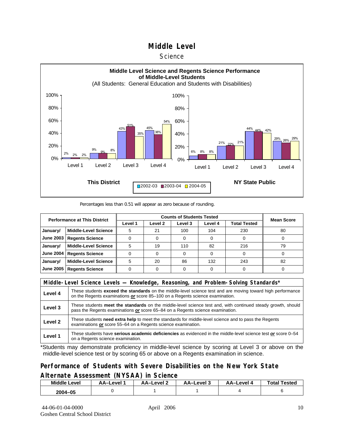#### **Science**



#### Percentages less than 0.51 will appear as zero because of rounding.

| <b>Performance at This District</b> |                             |         | <b>Mean Score</b>  |         |         |              |    |
|-------------------------------------|-----------------------------|---------|--------------------|---------|---------|--------------|----|
|                                     |                             | Level 1 | Level <sub>2</sub> | Level 3 | Level 4 | Total Tested |    |
| January/                            | <b>Middle-Level Science</b> | 5       | 21                 | 100     | 104     | 230          | 80 |
| <b>June 2003</b>                    | <b>Regents Science</b>      |         |                    |         |         |              |    |
| January/                            | <b>Middle-Level Science</b> | 5       | 19                 | 110     | 82      | 216          | 79 |
| <b>June 2004</b>                    | <b>Regents Science</b>      |         |                    |         |         |              |    |
| January/                            | <b>Middle-Level Science</b> | 5       | 20                 | 86      | 132     | 243          | 82 |
| <b>June 2005</b>                    | <b>Regents Science</b>      |         |                    |         |         |              |    |

|         | Middle-Level Science Levels — Knowledge, Reasoning, and Problem-Solving Standards*                                                                                                                  |  |  |  |  |
|---------|-----------------------------------------------------------------------------------------------------------------------------------------------------------------------------------------------------|--|--|--|--|
| Level 4 | These students <b>exceed the standards</b> on the middle-level science test and are moving toward high performance<br>on the Regents examinations or score 85-100 on a Regents science examination. |  |  |  |  |
| Level 3 | These students meet the standards on the middle-level science test and, with continued steady growth, should<br>pass the Regents examinations or score 65–84 on a Regents science examination.      |  |  |  |  |
| Level 2 | These students need extra help to meet the standards for middle-level science and to pass the Regents<br>examinations or score 55–64 on a Regents science examination.                              |  |  |  |  |
| Level 1 | These students have serious academic deficiencies as evidenced in the middle-level science test or score 0-54<br>on a Regents science examination.                                                  |  |  |  |  |

\*Students may demonstrate proficiency in middle-level science by scoring at Level 3 or above on the middle-level science test or by scoring 65 or above on a Regents examination in science.

#### **Performance of Students with Severe Disabilities on the New York State Alternate Assessment (NYSAA) in Science**

| Middle L<br>Level | AA–Level | – AA–Level | AA-Level 3 | AA-Level | <b>Total Tested</b> |
|-------------------|----------|------------|------------|----------|---------------------|
| 2004-05           |          |            |            |          |                     |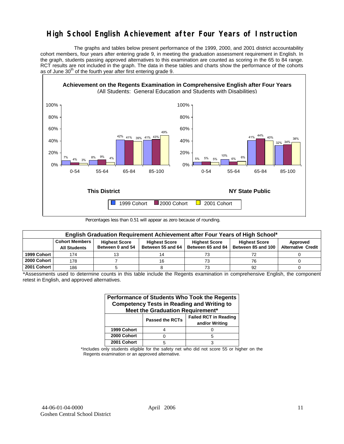## **High School English Achievement after Four Years of Instruction**

 The graphs and tables below present performance of the 1999, 2000, and 2001 district accountability cohort members, four years after entering grade 9, in meeting the graduation assessment requirement in English. In the graph, students passing approved alternatives to this examination are counted as scoring in the 65 to 84 range. RCT results are not included in the graph. The data in these tables and charts show the performance of the cohorts as of June  $30<sup>th</sup>$  of the fourth year after first entering grade 9.



Percentages less than 0.51 will appear as zero because of rounding.

|             | English Graduation Requirement Achievement after Four Years of High School* |                                          |                                           |                                           |                                            |                                       |  |  |  |  |  |  |
|-------------|-----------------------------------------------------------------------------|------------------------------------------|-------------------------------------------|-------------------------------------------|--------------------------------------------|---------------------------------------|--|--|--|--|--|--|
|             | <b>Cohort Members</b><br><b>All Students</b>                                | <b>Highest Score</b><br>Between 0 and 54 | <b>Highest Score</b><br>Between 55 and 64 | <b>Highest Score</b><br>Between 65 and 84 | <b>Highest Score</b><br>Between 85 and 100 | Approved<br><b>Alternative Credit</b> |  |  |  |  |  |  |
| 1999 Cohort | 174                                                                         |                                          |                                           | 73                                        | 72                                         |                                       |  |  |  |  |  |  |
| 2000 Cohort | 178                                                                         |                                          | 16                                        | 73                                        | 76                                         |                                       |  |  |  |  |  |  |
| 2001 Cohort | 186                                                                         |                                          |                                           | 73                                        | 92                                         |                                       |  |  |  |  |  |  |

\*Assessments used to determine counts in this table include the Regents examination in comprehensive English, the component retest in English, and approved alternatives.

| Performance of Students Who Took the Regents<br><b>Competency Tests in Reading and Writing to</b><br>Meet the Graduation Requirement* |                        |                                                |  |  |  |  |  |  |  |
|---------------------------------------------------------------------------------------------------------------------------------------|------------------------|------------------------------------------------|--|--|--|--|--|--|--|
|                                                                                                                                       | <b>Passed the RCTs</b> | <b>Failed RCT in Reading</b><br>and/or Writing |  |  |  |  |  |  |  |
| 1999 Cohort                                                                                                                           |                        |                                                |  |  |  |  |  |  |  |
| 2000 Cohort                                                                                                                           |                        | 5                                              |  |  |  |  |  |  |  |
| 2001 Cohort                                                                                                                           | 5                      |                                                |  |  |  |  |  |  |  |

\*Includes only students eligible for the safety net who did not score 55 or higher on the Regents examination or an approved alternative.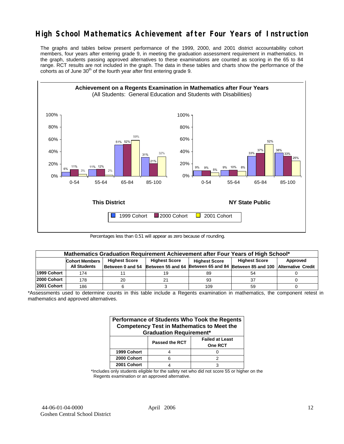## **High School Mathematics Achievement after Four Years of Instruction**

The graphs and tables below present performance of the 1999, 2000, and 2001 district accountability cohort members, four years after entering grade 9, in meeting the graduation assessment requirement in mathematics. In the graph, students passing approved alternatives to these examinations are counted as scoring in the 65 to 84 range. RCT results are not included in the graph. The data in these tables and charts show the performance of the cohorts as of June  $30<sup>th</sup>$  of the fourth year after first entering grade 9.



Percentages less than 0.51 will appear as zero because of rounding.

|             | Mathematics Graduation Requirement Achievement after Four Years of High School* |                      |    |                      |                                                                                            |          |  |  |  |  |  |
|-------------|---------------------------------------------------------------------------------|----------------------|----|----------------------|--------------------------------------------------------------------------------------------|----------|--|--|--|--|--|
|             | <b>Cohort Members</b>                                                           | <b>Highest Score</b> |    | <b>Highest Score</b> | <b>Highest Score</b>                                                                       | Approved |  |  |  |  |  |
|             | <b>All Students</b>                                                             |                      |    |                      | Between 0 and 54 Between 55 and 64 Between 65 and 84 Between 85 and 100 Alternative Credit |          |  |  |  |  |  |
| 1999 Cohort | 174                                                                             |                      | 19 | 89                   | 54                                                                                         |          |  |  |  |  |  |
| 2000 Cohort | 178                                                                             | 20                   |    | 93                   |                                                                                            |          |  |  |  |  |  |
| 2001 Cohort | 186                                                                             |                      |    | 109                  | 59                                                                                         |          |  |  |  |  |  |

<sup>\*</sup>Assessments used to determine counts in this table include a Regents examination in mathematics, the component retest in mathematics and approved alternatives.

| Performance of Students Who Took the Regents<br><b>Competency Test in Mathematics to Meet the</b><br><b>Graduation Requirement*</b> |                |                                          |  |  |  |  |  |  |
|-------------------------------------------------------------------------------------------------------------------------------------|----------------|------------------------------------------|--|--|--|--|--|--|
|                                                                                                                                     | Passed the RCT | <b>Failed at Least</b><br><b>One RCT</b> |  |  |  |  |  |  |
| 1999 Cohort                                                                                                                         |                |                                          |  |  |  |  |  |  |
| 2000 Cohort                                                                                                                         | ิค             | 2                                        |  |  |  |  |  |  |
| 2001 Cohort                                                                                                                         |                |                                          |  |  |  |  |  |  |

\*Includes only students eligible for the safety net who did not score 55 or higher on the Regents examination or an approved alternative.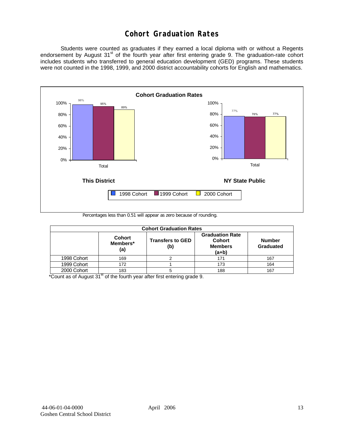## **Cohort Graduation Rates**

 Students were counted as graduates if they earned a local diploma with or without a Regents endorsement by August 31<sup>st</sup> of the fourth year after first entering grade 9. The graduation-rate cohort includes students who transferred to general education development (GED) programs. These students were not counted in the 1998, 1999, and 2000 district accountability cohorts for English and mathematics.



Percentages less than 0.51 will appear as zero because of rounding.

|             | <b>Cohort Graduation Rates</b>   |                                |                                                                      |                            |  |  |  |  |  |  |  |
|-------------|----------------------------------|--------------------------------|----------------------------------------------------------------------|----------------------------|--|--|--|--|--|--|--|
|             | <b>Cohort</b><br>Members*<br>(a) | <b>Transfers to GED</b><br>(b) | <b>Graduation Rate</b><br><b>Cohort</b><br><b>Members</b><br>$(a+b)$ | <b>Number</b><br>Graduated |  |  |  |  |  |  |  |
| 1998 Cohort | 169                              |                                | 171                                                                  | 167                        |  |  |  |  |  |  |  |
| 1999 Cohort | 172                              |                                | 173                                                                  | 164                        |  |  |  |  |  |  |  |
| 2000 Cohort | 183                              |                                | 188                                                                  | 167                        |  |  |  |  |  |  |  |

 $*$ Count as of August  $31<sup>st</sup>$  of the fourth year after first entering grade 9.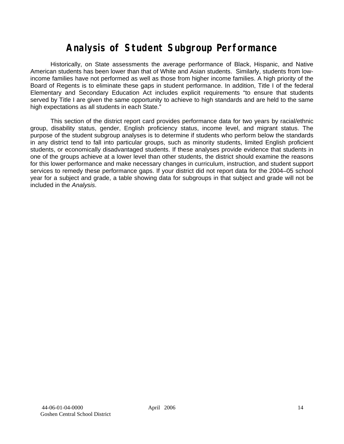# **Analysis of Student Subgroup Performance**

Historically, on State assessments the average performance of Black, Hispanic, and Native American students has been lower than that of White and Asian students. Similarly, students from lowincome families have not performed as well as those from higher income families. A high priority of the Board of Regents is to eliminate these gaps in student performance. In addition, Title I of the federal Elementary and Secondary Education Act includes explicit requirements "to ensure that students served by Title I are given the same opportunity to achieve to high standards and are held to the same high expectations as all students in each State."

This section of the district report card provides performance data for two years by racial/ethnic group, disability status, gender, English proficiency status, income level, and migrant status. The purpose of the student subgroup analyses is to determine if students who perform below the standards in any district tend to fall into particular groups, such as minority students, limited English proficient students, or economically disadvantaged students. If these analyses provide evidence that students in one of the groups achieve at a lower level than other students, the district should examine the reasons for this lower performance and make necessary changes in curriculum, instruction, and student support services to remedy these performance gaps. If your district did not report data for the 2004–05 school year for a subject and grade, a table showing data for subgroups in that subject and grade will not be included in the *Analysis*.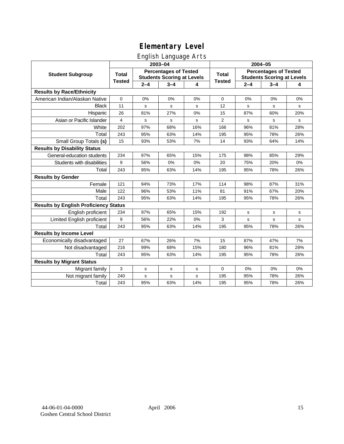## English Language Arts

|                                              |               |         | ັ<br>2003-04                                                      |     | 2004-05        |         |                                                                   |       |  |
|----------------------------------------------|---------------|---------|-------------------------------------------------------------------|-----|----------------|---------|-------------------------------------------------------------------|-------|--|
| <b>Student Subgroup</b>                      | <b>Total</b>  |         | <b>Percentages of Tested</b><br><b>Students Scoring at Levels</b> |     | <b>Total</b>   |         | <b>Percentages of Tested</b><br><b>Students Scoring at Levels</b> |       |  |
|                                              | <b>Tested</b> | $2 - 4$ | $3 - 4$                                                           | 4   | <b>Tested</b>  | $2 - 4$ | $3 - 4$                                                           | 4     |  |
| <b>Results by Race/Ethnicity</b>             |               |         |                                                                   |     |                |         |                                                                   |       |  |
| American Indian/Alaskan Native               | $\mathbf 0$   | 0%      | 0%                                                                | 0%  | 0              | 0%      | 0%                                                                | 0%    |  |
| <b>Black</b>                                 | 11            | s       | $\mathbf s$                                                       | s   | 12             | s       | s                                                                 | s     |  |
| Hispanic                                     | 26            | 81%     | 27%                                                               | 0%  | 15             | 87%     | 60%                                                               | 20%   |  |
| Asian or Pacific Islander                    | 4             | s       | s                                                                 | s   | $\overline{2}$ | s       | s                                                                 | s     |  |
| White                                        | 202           | 97%     | 68%                                                               | 16% | 166            | 96%     | 81%                                                               | 28%   |  |
| Total                                        | 243           | 95%     | 63%                                                               | 14% | 195            | 95%     | 78%                                                               | 26%   |  |
| Small Group Totals (s)                       | 15            | 93%     | 53%                                                               | 7%  | 14             | 93%     | 64%                                                               | 14%   |  |
| <b>Results by Disability Status</b>          |               |         |                                                                   |     |                |         |                                                                   |       |  |
| General-education students                   | 234           | 97%     | 65%                                                               | 15% | 175            | 98%     | 85%                                                               | 29%   |  |
| Students with disabilities                   | 9             | 56%     | $0\%$                                                             | 0%  | 20             | 75%     | 20%                                                               | $0\%$ |  |
| Total                                        | 243           | 95%     | 63%                                                               | 14% | 195            | 95%     | 78%                                                               | 26%   |  |
| <b>Results by Gender</b>                     |               |         |                                                                   |     |                |         |                                                                   |       |  |
| Female                                       | 121           | 94%     | 73%                                                               | 17% | 114            | 98%     | 87%                                                               | 31%   |  |
| Male                                         | 122           | 96%     | 53%                                                               | 11% | 81             | 91%     | 67%                                                               | 20%   |  |
| Total                                        | 243           | 95%     | 63%                                                               | 14% | 195            | 95%     | 78%                                                               | 26%   |  |
| <b>Results by English Proficiency Status</b> |               |         |                                                                   |     |                |         |                                                                   |       |  |
| English proficient                           | 234           | 97%     | 65%                                                               | 15% | 192            | s       | s                                                                 | s     |  |
| Limited English proficient                   | 9             | 56%     | 22%                                                               | 0%  | 3              | s       | $\mathbf s$                                                       | s     |  |
| Total                                        | 243           | 95%     | 63%                                                               | 14% | 195            | 95%     | 78%                                                               | 26%   |  |
| <b>Results by Income Level</b>               |               |         |                                                                   |     |                |         |                                                                   |       |  |
| Economically disadvantaged                   | 27            | 67%     | 26%                                                               | 7%  | 15             | 87%     | 47%                                                               | 7%    |  |
| Not disadvantaged                            | 216           | 99%     | 68%                                                               | 15% | 180            | 96%     | 81%                                                               | 28%   |  |
| Total                                        | 243           | 95%     | 63%                                                               | 14% | 195            | 95%     | 78%                                                               | 26%   |  |
| <b>Results by Migrant Status</b>             |               |         |                                                                   |     |                |         |                                                                   |       |  |
| Migrant family                               | 3             | s       | s                                                                 | s   | 0              | 0%      | 0%                                                                | 0%    |  |
| Not migrant family                           | 240           | s       | s                                                                 | s   | 195            | 95%     | 78%                                                               | 26%   |  |
| Total                                        | 243           | 95%     | 63%                                                               | 14% | 195            | 95%     | 78%                                                               | 26%   |  |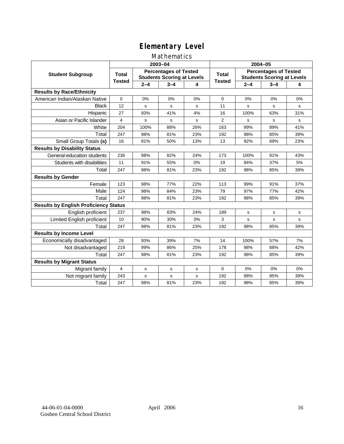### Mathematics

|                                              |               |         | 2003-04                                                           |     | 2004-05        |             |                                                                   |     |
|----------------------------------------------|---------------|---------|-------------------------------------------------------------------|-----|----------------|-------------|-------------------------------------------------------------------|-----|
| <b>Student Subgroup</b>                      | <b>Total</b>  |         | <b>Percentages of Tested</b><br><b>Students Scoring at Levels</b> |     | <b>Total</b>   |             | <b>Percentages of Tested</b><br><b>Students Scoring at Levels</b> |     |
|                                              | <b>Tested</b> | $2 - 4$ | $3 - 4$                                                           | 4   | <b>Tested</b>  | $2 - 4$     | $3 - 4$                                                           | 4   |
| <b>Results by Race/Ethnicity</b>             |               |         |                                                                   |     |                |             |                                                                   |     |
| American Indian/Alaskan Native               | $\mathbf 0$   | 0%      | 0%                                                                | 0%  | $\mathbf 0$    | 0%          | 0%                                                                | 0%  |
| <b>Black</b>                                 | 12            | s       | s                                                                 | s   | 11             | s           | s                                                                 | s   |
| Hispanic                                     | 27            | 93%     | 41%                                                               | 4%  | 16             | 100%        | 63%                                                               | 31% |
| Asian or Pacific Islander                    | 4             | s       | $\mathbf s$                                                       | S   | $\overline{2}$ | s           | s                                                                 | s   |
| White                                        | 204           | 100%    | 88%                                                               | 26% | 163            | 99%         | 89%                                                               | 41% |
| Total                                        | 247           | 98%     | 81%                                                               | 23% | 192            | 98%         | 85%                                                               | 39% |
| Small Group Totals (s)                       | 16            | 81%     | 50%                                                               | 13% | 13             | 92%         | 69%                                                               | 23% |
| <b>Results by Disability Status</b>          |               |         |                                                                   |     |                |             |                                                                   |     |
| General-education students                   | 236           | 98%     | 82%                                                               | 24% | 173            | 100%        | 91%                                                               | 43% |
| Students with disabilities                   | 11            | 91%     | 55%                                                               | 0%  | 19             | 84%         | 37%                                                               | 5%  |
| Total                                        | 247           | 98%     | 81%                                                               | 23% | 192            | 98%         | 85%                                                               | 39% |
| <b>Results by Gender</b>                     |               |         |                                                                   |     |                |             |                                                                   |     |
| Female                                       | 123           | 98%     | 77%                                                               | 22% | 113            | 99%         | 91%                                                               | 37% |
| Male                                         | 124           | 98%     | 84%                                                               | 23% | 79             | 97%         | 77%                                                               | 42% |
| Total                                        | 247           | 98%     | 81%                                                               | 23% | 192            | 98%         | 85%                                                               | 39% |
| <b>Results by English Proficiency Status</b> |               |         |                                                                   |     |                |             |                                                                   |     |
| English proficient                           | 237           | 98%     | 83%                                                               | 24% | 189            | $\mathbf s$ | $\mathbf s$                                                       | s   |
| Limited English proficient                   | 10            | 90%     | 30%                                                               | 0%  | 3              | s           | s                                                                 | s   |
| Total                                        | 247           | 98%     | 81%                                                               | 23% | 192            | 98%         | 85%                                                               | 39% |
| <b>Results by Income Level</b>               |               |         |                                                                   |     |                |             |                                                                   |     |
| Economically disadvantaged                   | 28            | 93%     | 39%                                                               | 7%  | 14             | 100%        | 57%                                                               | 7%  |
| Not disadvantaged                            | 219           | 99%     | 86%                                                               | 25% | 178            | 98%         | 88%                                                               | 42% |
| Total                                        | 247           | 98%     | 81%                                                               | 23% | 192            | 98%         | 85%                                                               | 39% |
| <b>Results by Migrant Status</b>             |               |         |                                                                   |     |                |             |                                                                   |     |
| Migrant family                               | 4             | s       | s                                                                 | s   | $\Omega$       | 0%          | 0%                                                                | 0%  |
| Not migrant family                           | 243           | s       | s                                                                 | S   | 192            | 98%         | 85%                                                               | 39% |
| Total                                        | 247           | 98%     | 81%                                                               | 23% | 192            | 98%         | 85%                                                               | 39% |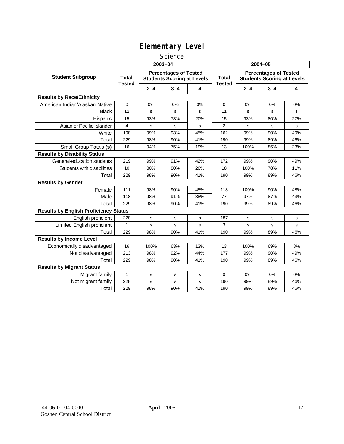#### **Science**

|                                              | 2003-04                       |         |                                                                   |     | 2004-05                       |         |                                                                   |     |  |
|----------------------------------------------|-------------------------------|---------|-------------------------------------------------------------------|-----|-------------------------------|---------|-------------------------------------------------------------------|-----|--|
| <b>Student Subgroup</b>                      | <b>Total</b><br><b>Tested</b> |         | <b>Percentages of Tested</b><br><b>Students Scoring at Levels</b> |     | <b>Total</b><br><b>Tested</b> |         | <b>Percentages of Tested</b><br><b>Students Scoring at Levels</b> |     |  |
|                                              |                               | $2 - 4$ | $3 - 4$                                                           | 4   |                               | $2 - 4$ | $3 - 4$                                                           | 4   |  |
| <b>Results by Race/Ethnicity</b>             |                               |         |                                                                   |     |                               |         |                                                                   |     |  |
| American Indian/Alaskan Native               | 0                             | 0%      | 0%                                                                | 0%  | $\mathbf 0$                   | 0%      | 0%                                                                | 0%  |  |
| <b>Black</b>                                 | 12                            | s       | s                                                                 | s   | 11                            | S       | s                                                                 | s   |  |
| Hispanic                                     | 15                            | 93%     | 73%                                                               | 20% | 15                            | 93%     | 80%                                                               | 27% |  |
| Asian or Pacific Islander                    | 4                             | s       | s                                                                 | s   | 2                             | s       | s                                                                 | s   |  |
| White                                        | 198                           | 99%     | 93%                                                               | 45% | 162                           | 99%     | 90%                                                               | 49% |  |
| Total                                        | 229                           | 98%     | 90%                                                               | 41% | 190                           | 99%     | 89%                                                               | 46% |  |
| Small Group Totals (s)                       | 16                            | 94%     | 75%                                                               | 19% | 13                            | 100%    | 85%                                                               | 23% |  |
| <b>Results by Disability Status</b>          |                               |         |                                                                   |     |                               |         |                                                                   |     |  |
| General-education students                   | 219                           | 99%     | 91%                                                               | 42% | 172                           | 99%     | 90%                                                               | 49% |  |
| Students with disabilities                   | 10                            | 80%     | 80%                                                               | 20% | 18                            | 100%    | 78%                                                               | 11% |  |
| Total                                        | 229                           | 98%     | 90%                                                               | 41% | 190                           | 99%     | 89%                                                               | 46% |  |
| <b>Results by Gender</b>                     |                               |         |                                                                   |     |                               |         |                                                                   |     |  |
| Female                                       | 111                           | 98%     | 90%                                                               | 45% | 113                           | 100%    | 90%                                                               | 48% |  |
| Male                                         | 118                           | 98%     | 91%                                                               | 38% | 77                            | 97%     | 87%                                                               | 43% |  |
| Total                                        | 229                           | 98%     | 90%                                                               | 41% | 190                           | 99%     | 89%                                                               | 46% |  |
| <b>Results by English Proficiency Status</b> |                               |         |                                                                   |     |                               |         |                                                                   |     |  |
| English proficient                           | 228                           | s       | s                                                                 | s   | 187                           | s       | s                                                                 | s   |  |
| Limited English proficient                   | $\mathbf{1}$                  | s       | s                                                                 | s   | 3                             | s       | s                                                                 | s   |  |
| Total                                        | 229                           | 98%     | 90%                                                               | 41% | 190                           | 99%     | 89%                                                               | 46% |  |
| <b>Results by Income Level</b>               |                               |         |                                                                   |     |                               |         |                                                                   |     |  |
| Economically disadvantaged                   | 16                            | 100%    | 63%                                                               | 13% | 13                            | 100%    | 69%                                                               | 8%  |  |
| Not disadvantaged                            | 213                           | 98%     | 92%                                                               | 44% | 177                           | 99%     | 90%                                                               | 49% |  |
| Total                                        | 229                           | 98%     | 90%                                                               | 41% | 190                           | 99%     | 89%                                                               | 46% |  |
| <b>Results by Migrant Status</b>             |                               |         |                                                                   |     |                               |         |                                                                   |     |  |
| Migrant family                               | $\mathbf{1}$                  | s       | s                                                                 | s   | $\mathbf 0$                   | 0%      | 0%                                                                | 0%  |  |
| Not migrant family                           | 228                           | s       | s                                                                 | s   | 190                           | 99%     | 89%                                                               | 46% |  |
| Total                                        | 229                           | 98%     | 90%                                                               | 41% | 190                           | 99%     | 89%                                                               | 46% |  |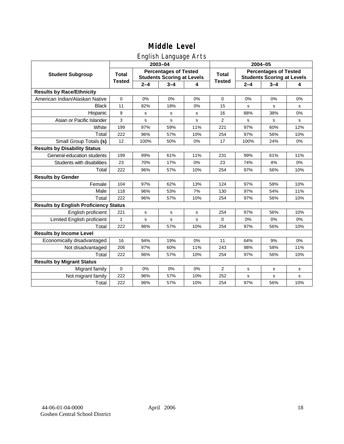## English Language Arts

|                                              |               |             | ັ<br>2003-04                                                      |     | 2004-05        |         |                                                                   |       |  |
|----------------------------------------------|---------------|-------------|-------------------------------------------------------------------|-----|----------------|---------|-------------------------------------------------------------------|-------|--|
| <b>Student Subgroup</b>                      | <b>Total</b>  |             | <b>Percentages of Tested</b><br><b>Students Scoring at Levels</b> |     | <b>Total</b>   |         | <b>Percentages of Tested</b><br><b>Students Scoring at Levels</b> |       |  |
|                                              | <b>Tested</b> | $2 - 4$     | $3 - 4$                                                           | 4   | <b>Tested</b>  | $2 - 4$ | $3 - 4$                                                           | 4     |  |
| <b>Results by Race/Ethnicity</b>             |               |             |                                                                   |     |                |         |                                                                   |       |  |
| American Indian/Alaskan Native               | $\pmb{0}$     | 0%          | 0%                                                                | 0%  | $\mathbf 0$    | 0%      | 0%                                                                | 0%    |  |
| <b>Black</b>                                 | 11            | 82%         | 18%                                                               | 0%  | 15             | s       | s                                                                 | s     |  |
| Hispanic                                     | 9             | s           | s                                                                 | s   | 16             | 88%     | 38%                                                               | 0%    |  |
| Asian or Pacific Islander                    | 3             | s           | s                                                                 | s   | $\overline{2}$ | s       | s                                                                 | s     |  |
| White                                        | 199           | 97%         | 59%                                                               | 11% | 221            | 97%     | 60%                                                               | 12%   |  |
| Total                                        | 222           | 96%         | 57%                                                               | 10% | 254            | 97%     | 56%                                                               | 10%   |  |
| Small Group Totals (s)                       | 12            | 100%        | 50%                                                               | 0%  | 17             | 100%    | 24%                                                               | 0%    |  |
| <b>Results by Disability Status</b>          |               |             |                                                                   |     |                |         |                                                                   |       |  |
| General-education students                   | 199           | 99%         | 61%                                                               | 11% | 231            | 99%     | 61%                                                               | 11%   |  |
| Students with disabilities                   | 23            | 70%         | 17%                                                               | 0%  | 23             | 74%     | 4%                                                                | $0\%$ |  |
| Total                                        | 222           | 96%         | 57%                                                               | 10% | 254            | 97%     | 56%                                                               | 10%   |  |
| <b>Results by Gender</b>                     |               |             |                                                                   |     |                |         |                                                                   |       |  |
| Female                                       | 104           | 97%         | 62%                                                               | 13% | 124            | 97%     | 58%                                                               | 10%   |  |
| Male                                         | 118           | 96%         | 53%                                                               | 7%  | 130            | 97%     | 54%                                                               | 11%   |  |
| Total                                        | 222           | 96%         | 57%                                                               | 10% | 254            | 97%     | 56%                                                               | 10%   |  |
| <b>Results by English Proficiency Status</b> |               |             |                                                                   |     |                |         |                                                                   |       |  |
| English proficient                           | 221           | $\mathbf s$ | s                                                                 | s   | 254            | 97%     | 56%                                                               | 10%   |  |
| Limited English proficient                   | $\mathbf{1}$  | $\mathbf s$ | $\mathbf s$                                                       | s   | 0              | 0%      | 0%                                                                | 0%    |  |
| Total                                        | 222           | 96%         | 57%                                                               | 10% | 254            | 97%     | 56%                                                               | 10%   |  |
| <b>Results by Income Level</b>               |               |             |                                                                   |     |                |         |                                                                   |       |  |
| Economically disadvantaged                   | 16            | 94%         | 19%                                                               | 0%  | 11             | 64%     | 9%                                                                | 0%    |  |
| Not disadvantaged                            | 206           | 97%         | 60%                                                               | 11% | 243            | 98%     | 58%                                                               | 11%   |  |
| Total                                        | 222           | 96%         | 57%                                                               | 10% | 254            | 97%     | 56%                                                               | 10%   |  |
| <b>Results by Migrant Status</b>             |               |             |                                                                   |     |                |         |                                                                   |       |  |
| Migrant family                               | $\mathbf 0$   | 0%          | 0%                                                                | 0%  | 2              | s       | s                                                                 | s     |  |
| Not migrant family                           | 222           | 96%         | 57%                                                               | 10% | 252            | s       | s                                                                 | s     |  |
| Total                                        | 222           | 96%         | 57%                                                               | 10% | 254            | 97%     | 56%                                                               | 10%   |  |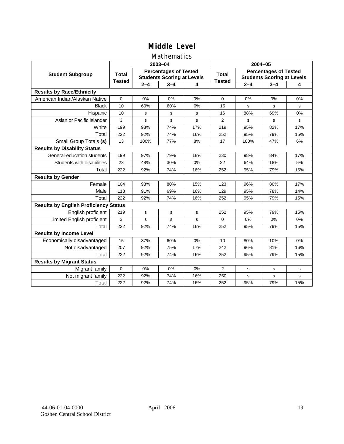### Mathematics

|                                              |               |         | 2003-04                                                           |             | 2004-05        |         |                                                                   |     |  |
|----------------------------------------------|---------------|---------|-------------------------------------------------------------------|-------------|----------------|---------|-------------------------------------------------------------------|-----|--|
| <b>Student Subgroup</b>                      | <b>Total</b>  |         | <b>Percentages of Tested</b><br><b>Students Scoring at Levels</b> |             | <b>Total</b>   |         | <b>Percentages of Tested</b><br><b>Students Scoring at Levels</b> |     |  |
|                                              | <b>Tested</b> | $2 - 4$ | $3 - 4$                                                           | 4           | <b>Tested</b>  | $2 - 4$ | $3 - 4$                                                           | 4   |  |
| <b>Results by Race/Ethnicity</b>             |               |         |                                                                   |             |                |         |                                                                   |     |  |
| American Indian/Alaskan Native               | $\mathbf 0$   | 0%      | 0%                                                                | 0%          | $\mathbf 0$    | 0%      | 0%                                                                | 0%  |  |
| <b>Black</b>                                 | 10            | 60%     | 60%                                                               | 0%          | 15             | s       | s                                                                 | s   |  |
| Hispanic                                     | 10            | s       | s                                                                 | s           | 16             | 88%     | 69%                                                               | 0%  |  |
| Asian or Pacific Islander                    | 3             | s       | s                                                                 | S           | $\overline{2}$ | s       | s                                                                 | s   |  |
| White                                        | 199           | 93%     | 74%                                                               | 17%         | 219            | 95%     | 82%                                                               | 17% |  |
| Total                                        | 222           | 92%     | 74%                                                               | 16%         | 252            | 95%     | 79%                                                               | 15% |  |
| Small Group Totals (s)                       | 13            | 100%    | 77%                                                               | 8%          | 17             | 100%    | 47%                                                               | 6%  |  |
| <b>Results by Disability Status</b>          |               |         |                                                                   |             |                |         |                                                                   |     |  |
| General-education students                   | 199           | 97%     | 79%                                                               | 18%         | 230            | 98%     | 84%                                                               | 17% |  |
| Students with disabilities                   | 23            | 48%     | 30%                                                               | 0%          | 22             | 64%     | 18%                                                               | 5%  |  |
| Total                                        | 222           | 92%     | 74%                                                               | 16%         | 252            | 95%     | 79%                                                               | 15% |  |
| <b>Results by Gender</b>                     |               |         |                                                                   |             |                |         |                                                                   |     |  |
| Female                                       | 104           | 93%     | 80%                                                               | 15%         | 123            | 96%     | 80%                                                               | 17% |  |
| Male                                         | 118           | 91%     | 69%                                                               | 16%         | 129            | 95%     | 78%                                                               | 14% |  |
| Total                                        | 222           | 92%     | 74%                                                               | 16%         | 252            | 95%     | 79%                                                               | 15% |  |
| <b>Results by English Proficiency Status</b> |               |         |                                                                   |             |                |         |                                                                   |     |  |
| English proficient                           | 219           | s       | $\mathbf s$                                                       | $\mathbf s$ | 252            | 95%     | 79%                                                               | 15% |  |
| Limited English proficient                   | 3             | s       | s                                                                 | S           | $\Omega$       | 0%      | 0%                                                                | 0%  |  |
| Total                                        | 222           | 92%     | 74%                                                               | 16%         | 252            | 95%     | 79%                                                               | 15% |  |
| <b>Results by Income Level</b>               |               |         |                                                                   |             |                |         |                                                                   |     |  |
| Economically disadvantaged                   | 15            | 87%     | 60%                                                               | 0%          | 10             | 80%     | 10%                                                               | 0%  |  |
| Not disadvantaged                            | 207           | 92%     | 75%                                                               | 17%         | 242            | 96%     | 81%                                                               | 16% |  |
| Total                                        | 222           | 92%     | 74%                                                               | 16%         | 252            | 95%     | 79%                                                               | 15% |  |
| <b>Results by Migrant Status</b>             |               |         |                                                                   |             |                |         |                                                                   |     |  |
| Migrant family                               | 0             | 0%      | 0%                                                                | 0%          | $\overline{2}$ | s       | s                                                                 | s   |  |
| Not migrant family                           | 222           | 92%     | 74%                                                               | 16%         | 250            | s       | s                                                                 | s   |  |
| Total                                        | 222           | 92%     | 74%                                                               | 16%         | 252            | 95%     | 79%                                                               | 15% |  |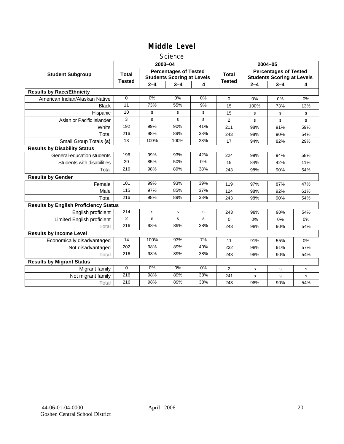#### Science

|                                              |                |         | 2003-04                                                           |             | 2004-05        |         |                                                                   |             |
|----------------------------------------------|----------------|---------|-------------------------------------------------------------------|-------------|----------------|---------|-------------------------------------------------------------------|-------------|
| <b>Student Subgroup</b>                      | <b>Total</b>   |         | <b>Percentages of Tested</b><br><b>Students Scoring at Levels</b> |             | <b>Total</b>   |         | <b>Percentages of Tested</b><br><b>Students Scoring at Levels</b> |             |
|                                              | <b>Tested</b>  | $2 - 4$ | $3 - 4$                                                           | 4           | <b>Tested</b>  | $2 - 4$ | $3 - 4$                                                           | 4           |
| <b>Results by Race/Ethnicity</b>             |                |         |                                                                   |             |                |         |                                                                   |             |
| American Indian/Alaskan Native               | $\Omega$       | 0%      | 0%                                                                | 0%          | $\mathbf 0$    | 0%      | 0%                                                                | 0%          |
| <b>Black</b>                                 | 11             | 73%     | 55%                                                               | 9%          | 15             | 100%    | 73%                                                               | 13%         |
| Hispanic                                     | 10             | s       | s                                                                 | s           | 15             | s       | s                                                                 | s           |
| Asian or Pacific Islander                    | 3              | s       | s                                                                 | s           | $\overline{2}$ | s       | s                                                                 | s           |
| White                                        | 192            | 99%     | 90%                                                               | 41%         | 211            | 98%     | 91%                                                               | 59%         |
| Total                                        | 216            | 98%     | 89%                                                               | 38%         | 243            | 98%     | 90%                                                               | 54%         |
| Small Group Totals (s)                       | 13             | 100%    | 100%                                                              | 23%         | 17             | 94%     | 82%                                                               | 29%         |
| <b>Results by Disability Status</b>          |                |         |                                                                   |             |                |         |                                                                   |             |
| General-education students                   | 196            | 99%     | 93%                                                               | 42%         | 224            | 99%     | 94%                                                               | 58%         |
| Students with disabilities                   | 20             | 85%     | 50%                                                               | 0%          | 19             | 84%     | 42%                                                               | 11%         |
| Total                                        | 216            | 98%     | 89%                                                               | 38%         | 243            | 98%     | 90%                                                               | 54%         |
| <b>Results by Gender</b>                     |                |         |                                                                   |             |                |         |                                                                   |             |
| Female                                       | 101            | 99%     | 93%                                                               | 39%         | 119            | 97%     | 87%                                                               | 47%         |
| Male                                         | 115            | 97%     | 85%                                                               | 37%         | 124            | 98%     | 92%                                                               | 61%         |
| Total                                        | 216            | 98%     | 89%                                                               | 38%         | 243            | 98%     | 90%                                                               | 54%         |
| <b>Results by English Proficiency Status</b> |                |         |                                                                   |             |                |         |                                                                   |             |
| English proficient                           | 214            | s       | $\mathbf s$                                                       | $\mathbf s$ | 243            | 98%     | 90%                                                               | 54%         |
| Limited English proficient                   | $\overline{2}$ | s       | s                                                                 | s           | 0              | 0%      | 0%                                                                | 0%          |
| Total                                        | 216            | 98%     | 89%                                                               | 38%         | 243            | 98%     | 90%                                                               | 54%         |
| <b>Results by Income Level</b>               |                |         |                                                                   |             |                |         |                                                                   |             |
| Economically disadvantaged                   | 14             | 100%    | 93%                                                               | 7%          | 11             | 91%     | 55%                                                               | 0%          |
| Not disadvantaged                            | 202            | 98%     | 89%                                                               | 40%         | 232            | 98%     | 91%                                                               | 57%         |
| Total                                        | 216            | 98%     | 89%                                                               | 38%         | 243            | 98%     | 90%                                                               | 54%         |
| <b>Results by Migrant Status</b>             |                |         |                                                                   |             |                |         |                                                                   |             |
| Migrant family                               | $\mathbf 0$    | 0%      | 0%                                                                | 0%          | 2              | s       | s                                                                 | s           |
| Not migrant family                           | 216            | 98%     | 89%                                                               | 38%         | 241            | s       | s                                                                 | $\mathbf s$ |
| Total                                        | 216            | 98%     | 89%                                                               | 38%         | 243            | 98%     | 90%                                                               | 54%         |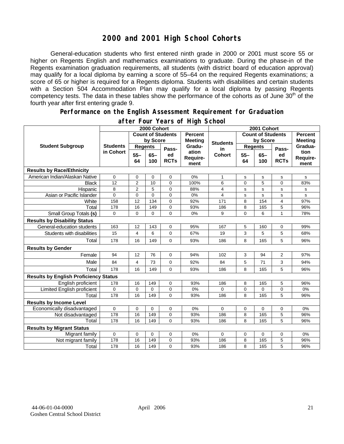## **2000 and 2001 High School Cohorts**

General-education students who first entered ninth grade in 2000 or 2001 must score 55 or higher on Regents English and mathematics examinations to graduate. During the phase-in of the Regents examination graduation requirements, all students (with district board of education approval) may qualify for a local diploma by earning a score of 55–64 on the required Regents examinations; a score of 65 or higher is required for a Regents diploma. Students with disabilities and certain students with a Section 504 Accommodation Plan may qualify for a local diploma by passing Regents competency tests. The data in these tables show the performance of the cohorts as of June 30<sup>th</sup> of the fourth year after first entering grade 9.

#### **Performance on the English Assessment Requirement for Graduation**

|                                              | 2000 Cohort                  |                          |               |                   |                                  | 2001 Cohort     |                          |              |                   |                                  |
|----------------------------------------------|------------------------------|--------------------------|---------------|-------------------|----------------------------------|-----------------|--------------------------|--------------|-------------------|----------------------------------|
| <b>Student Subgroup</b>                      |                              | <b>Count of Students</b> |               |                   | <b>Percent</b><br><b>Meeting</b> |                 | <b>Count of Students</b> |              |                   | <b>Percent</b><br><b>Meeting</b> |
|                                              | <b>Students</b><br>in Cohort | by Score                 |               |                   |                                  | <b>Students</b> | by Score                 |              |                   |                                  |
|                                              |                              | <b>Regents</b>           |               | Pass-             | Gradu-                           | in              | <b>Regents</b>           |              | Pass-             | Gradua-                          |
|                                              |                              | $55 -$<br>64             | $65 -$<br>100 | ed<br><b>RCTs</b> | ation<br>Require-<br>ment        | <b>Cohort</b>   | $55 -$<br>64             | $65-$<br>100 | ed<br><b>RCTs</b> | tion<br>Require-<br>ment         |
| <b>Results by Race/Ethnicity</b>             |                              |                          |               |                   |                                  |                 |                          |              |                   |                                  |
| American Indian/Alaskan Native               | 0                            | 0                        | $\mathbf 0$   | 0                 | 0%                               | $\mathbf{1}$    | $\mathbf s$              | $\mathbf s$  | s                 | s                                |
| <b>Black</b>                                 | 12                           | $\overline{2}$           | 10            | $\overline{0}$    | 100%                             | 6               | $\mathbf{0}$             | 5            | $\overline{0}$    | 83%                              |
| Hispanic                                     | 8                            | $\overline{2}$           | 5             | 0                 | 88%                              | 4               | s                        | s            | s                 | s                                |
| Asian or Pacific Islander                    | $\Omega$                     | $\mathbf 0$              | $\mathbf{0}$  | $\overline{0}$    | 0%                               | 4               | s                        | $\mathbf{s}$ | s                 | s                                |
| White                                        | 158                          | $\overline{12}$          | 134           | 0                 | 92%                              | 171             | 8                        | 154          | 4                 | 97%                              |
| Total                                        | 178                          | 16                       | 149           | 0                 | 93%                              | 186             | 8                        | 165          | 5                 | 96%                              |
| Small Group Totals (s)                       | 0                            | 0                        | 0             | $\overline{0}$    | 0%                               | 9               | 0                        | 6            | 1                 | 78%                              |
| <b>Results by Disability Status</b>          |                              |                          |               |                   |                                  |                 |                          |              |                   |                                  |
| General-education students                   | 163                          | 12                       | 143           | 0                 | 95%                              | 167             | 5                        | 160          | 0                 | 99%                              |
| Students with disabilities                   | 15                           | 4                        | 6             | 0                 | 67%                              | 19              | 3                        | 5            | 5                 | 68%                              |
| Total                                        | 178                          | 16                       | 149           | 0                 | 93%                              | 186             | 8                        | 165          | 5                 | 96%                              |
| <b>Results by Gender</b>                     |                              |                          |               |                   |                                  |                 |                          |              |                   |                                  |
| Female                                       | 94                           | 12                       | 76            | 0                 | 94%                              | 102             | 3                        | 94           | $\overline{2}$    | 97%                              |
| Male                                         | 84                           | 4                        | 73            | 0                 | 92%                              | 84              | 5                        | 71           | 3                 | 94%                              |
| Total                                        | 178                          | 16                       | 149           | 0                 | 93%                              | 186             | 8                        | 165          | 5                 | 96%                              |
| <b>Results by English Proficiency Status</b> |                              |                          |               |                   |                                  |                 |                          |              |                   |                                  |
| English proficient                           | 178                          | 16                       | 149           | 0                 | 93%                              | 186             | 8                        | 165          | 5                 | 96%                              |
| Limited English proficient                   | 0                            | $\mathbf 0$              | $\Omega$      | 0                 | 0%                               | $\Omega$        | 0                        | 0            | 0                 | 0%                               |
| Total                                        | 178                          | 16                       | 149           | $\Omega$          | 93%                              | 186             | 8                        | 165          | 5                 | 96%                              |
| <b>Results by Income Level</b>               |                              |                          |               |                   |                                  |                 |                          |              |                   |                                  |
| Economically disadvantaged                   | $\mathbf 0$                  | $\pmb{0}$                | $\mathbf{0}$  | 0                 | 0%                               | $\Omega$        | 0                        | $\mathbf 0$  | 0                 | 0%                               |
| Not disadvantaged                            | 178                          | 16                       | 149           | 0                 | 93%                              | 186             | 8                        | 165          | 5                 | 96%                              |
| Total                                        | 178                          | 16                       | 149           | $\Omega$          | 93%                              | 186             | 8                        | 165          | 5                 | 96%                              |
| <b>Results by Migrant Status</b>             |                              |                          |               |                   |                                  |                 |                          |              |                   |                                  |
| Migrant family                               | 0                            | $\mathbf 0$              | $\mathbf 0$   | 0                 | 0%                               | 0               | 0                        | $\mathbf 0$  | 0                 | 0%                               |
| Not migrant family                           | 178                          | 16                       | 149           | 0                 | 93%                              | 186             | 8                        | 165          | 5                 | 96%                              |
| Total                                        | 178                          | 16                       | 149           | 0                 | 93%                              | 186             | 8                        | 165          | 5                 | 96%                              |

#### **after Four Years of High School**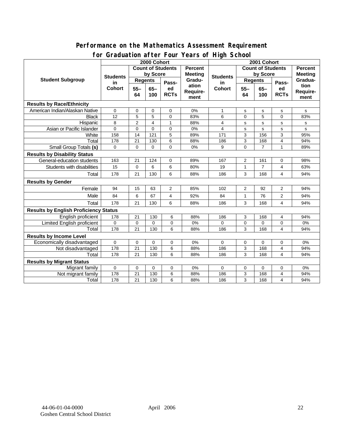#### **Performance on the Mathematics Assessment Requirement for Graduation after Four Years of High School**

|                                              | $\frac{1}{2}$ . $\frac{1}{2}$ . $\frac{1}{2}$ . $\frac{1}{2}$ . $\frac{1}{2}$ . $\frac{1}{2}$ . $\frac{1}{2}$ . $\frac{1}{2}$ . $\frac{1}{2}$<br>2000 Cohort |                                     |                |              |                          | 2001 Cohort           |                |                |                |                |
|----------------------------------------------|--------------------------------------------------------------------------------------------------------------------------------------------------------------|-------------------------------------|----------------|--------------|--------------------------|-----------------------|----------------|----------------|----------------|----------------|
| <b>Student Subgroup</b>                      |                                                                                                                                                              | <b>Count of Students</b><br>Percent |                |              | <b>Count of Students</b> |                       |                |                | <b>Percent</b> |                |
|                                              | <b>Students</b><br>in.<br>Cohort                                                                                                                             | by Score                            |                |              | <b>Meeting</b>           |                       | by Score       |                |                | <b>Meeting</b> |
|                                              |                                                                                                                                                              | <b>Regents</b>                      |                | Pass-        | Gradu-                   | <b>Students</b><br>in | Regents        |                | Pass-          | Gradua-        |
|                                              |                                                                                                                                                              | $55 -$                              | $65-$          | ed           | ation                    | <b>Cohort</b>         | $55 -$         | $65-$          | ed             | tion           |
|                                              |                                                                                                                                                              | 64                                  | 100            | <b>RCTs</b>  | Require-                 |                       | 64             | 100            | <b>RCTs</b>    | Require-       |
|                                              |                                                                                                                                                              |                                     |                |              | ment                     |                       |                |                |                | ment           |
| <b>Results by Race/Ethnicity</b>             |                                                                                                                                                              |                                     |                |              |                          |                       |                |                |                |                |
| American Indian/Alaskan Native               | 0                                                                                                                                                            | $\mathbf 0$                         | $\mathbf 0$    | 0            | 0%                       | 1                     | s              | $\mathbf S$    | s              | s              |
| <b>Black</b>                                 | 12                                                                                                                                                           | 5                                   | 5              | 0            | 83%                      | 6                     | 0              | 5              | $\Omega$       | 83%            |
| Hispanic                                     | 8                                                                                                                                                            | $\overline{2}$                      | $\overline{4}$ | $\mathbf{1}$ | 88%                      | 4                     | s              | s              | s              | s              |
| Asian or Pacific Islander                    | $\overline{0}$                                                                                                                                               | $\mathbf 0$                         | $\Omega$       | $\Omega$     | 0%                       | 4                     | s              | s              | s              | s              |
| White                                        | 158                                                                                                                                                          | 14                                  | 121            | 5            | 89%                      | 171                   | 3              | 156            | 3              | 95%            |
| Total                                        | 178                                                                                                                                                          | 21                                  | 130            | 6            | 88%                      | 186                   | 3              | 168            | 4              | 94%            |
| Small Group Totals (s)                       | $\Omega$                                                                                                                                                     | $\Omega$                            | $\Omega$       | 0            | 0%                       | 9                     | $\Omega$       | $\overline{7}$ | $\mathbf{1}$   | 89%            |
| <b>Results by Disability Status</b>          |                                                                                                                                                              |                                     |                |              |                          |                       |                |                |                |                |
| General-education students                   | 163                                                                                                                                                          | 21                                  | 124            | 0            | 89%                      | 167                   | 2              | 161            | 0              | 98%            |
| Students with disabilities                   | 15                                                                                                                                                           | 0                                   | 6              | 6            | 80%                      | 19                    | 1              | $\overline{7}$ | 4              | 63%            |
| Total                                        | 178                                                                                                                                                          | 21                                  | 130            | 6            | 88%                      | 186                   | 3              | 168            | 4              | 94%            |
| <b>Results by Gender</b>                     |                                                                                                                                                              |                                     |                |              |                          |                       |                |                |                |                |
| Female                                       | 94                                                                                                                                                           | 15                                  | 63             | 2            | 85%                      | 102                   | $\overline{2}$ | 92             | 2              | 94%            |
| Male                                         | 84                                                                                                                                                           | 6                                   | 67             | 4            | 92%                      | 84                    | $\mathbf{1}$   | 76             | $\overline{2}$ | 94%            |
| Total                                        | 178                                                                                                                                                          | 21                                  | 130            | 6            | 88%                      | 186                   | 3              | 168            | 4              | 94%            |
| <b>Results by English Proficiency Status</b> |                                                                                                                                                              |                                     |                |              |                          |                       |                |                |                |                |
| English proficient                           | 178                                                                                                                                                          | 21                                  | 130            | 6            | 88%                      | 186                   | 3              | 168            | 4              | 94%            |
| <b>Limited English proficient</b>            | $\mathbf 0$                                                                                                                                                  | $\mathbf 0$                         | $\Omega$       | 0            | 0%                       | $\Omega$              | 0              | $\Omega$       | 0              | 0%             |
| Total                                        | 178                                                                                                                                                          | 21                                  | 130            | 6            | 88%                      | 186                   | 3              | 168            | 4              | 94%            |
| <b>Results by Income Level</b>               |                                                                                                                                                              |                                     |                |              |                          |                       |                |                |                |                |
| Economically disadvantaged                   | 0                                                                                                                                                            | $\mathbf 0$                         | 0              | 0            | 0%                       | $\mathbf 0$           | $\mathbf 0$    | $\mathbf 0$    | 0              | 0%             |
| Not disadvantaged                            | 178                                                                                                                                                          | $\overline{21}$                     | 130            | 6            | 88%                      | 186                   | 3              | 168            | 4              | 94%            |
| Total                                        | 178                                                                                                                                                          | 21                                  | 130            | 6            | 88%                      | 186                   | 3              | 168            | 4              | 94%            |
| <b>Results by Migrant Status</b>             |                                                                                                                                                              |                                     |                |              |                          |                       |                |                |                |                |
| Migrant family                               | $\mathbf 0$                                                                                                                                                  | 0                                   | 0              | 0            | 0%                       | 0                     | 0              | $\mathbf 0$    | 0              | 0%             |
| Not migrant family                           | 178                                                                                                                                                          | 21                                  | 130            | 6            | 88%                      | 186                   | 3              | 168            | 4              | 94%            |
| Total                                        | 178                                                                                                                                                          | 21                                  | 130            | 6            | 88%                      | 186                   | 3              | 168            | 4              | 94%            |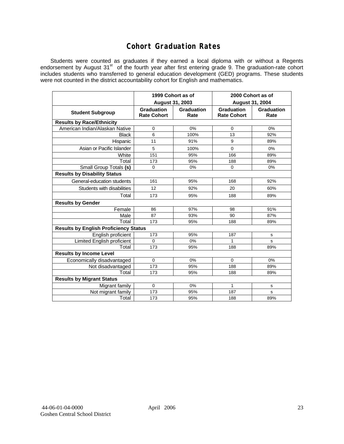## **Cohort Graduation Rates**

Students were counted as graduates if they earned a local diploma with or without a Regents endorsement by August 31<sup>st</sup> of the fourth year after first entering grade 9. The graduation-rate cohort includes students who transferred to general education development (GED) programs. These students were not counted in the district accountability cohort for English and mathematics.

|                                              | 1999 Cohort as of                |                    | 2000 Cohort as of                |                    |  |  |  |  |  |  |
|----------------------------------------------|----------------------------------|--------------------|----------------------------------|--------------------|--|--|--|--|--|--|
|                                              | August 31, 2003                  |                    | <b>August 31, 2004</b>           |                    |  |  |  |  |  |  |
| <b>Student Subgroup</b>                      | Graduation<br><b>Rate Cohort</b> | Graduation<br>Rate | Graduation<br><b>Rate Cohort</b> | Graduation<br>Rate |  |  |  |  |  |  |
| <b>Results by Race/Ethnicity</b>             |                                  |                    |                                  |                    |  |  |  |  |  |  |
| American Indian/Alaskan Native               | 0                                | 0%                 | 0                                | 0%                 |  |  |  |  |  |  |
| <b>Black</b>                                 | 6                                | 100%               | 13                               | 92%                |  |  |  |  |  |  |
| Hispanic                                     | 11                               | 91%                | 9                                | 89%                |  |  |  |  |  |  |
| Asian or Pacific Islander                    | 5                                | 100%               | $\Omega$                         | 0%                 |  |  |  |  |  |  |
| White                                        | 151                              | 95%                | 166                              | 89%                |  |  |  |  |  |  |
| Total                                        | 173                              | 95%                | 188                              | 89%                |  |  |  |  |  |  |
| Small Group Totals (s)                       | $\Omega$                         | 0%                 | 0                                | 0%                 |  |  |  |  |  |  |
| <b>Results by Disability Status</b>          |                                  |                    |                                  |                    |  |  |  |  |  |  |
| General-education students                   | 161                              | 95%                | 168                              | 92%                |  |  |  |  |  |  |
| Students with disabilities                   | 12                               | 92%                | 20                               | 60%                |  |  |  |  |  |  |
| Total                                        | 173                              | 95%                | 188                              | 89%                |  |  |  |  |  |  |
| <b>Results by Gender</b>                     |                                  |                    |                                  |                    |  |  |  |  |  |  |
| Female                                       | 86                               | 97%                | 98                               | 91%                |  |  |  |  |  |  |
| Male                                         | 87                               | 93%                | 90                               | 87%                |  |  |  |  |  |  |
| Total                                        | 173                              | 95%                | 188                              | 89%                |  |  |  |  |  |  |
| <b>Results by English Proficiency Status</b> |                                  |                    |                                  |                    |  |  |  |  |  |  |
| English proficient                           | 173                              | 95%                | 187                              | s                  |  |  |  |  |  |  |
| <b>Limited English proficient</b>            | $\Omega$                         | 0%                 | 1                                | S                  |  |  |  |  |  |  |
| Total                                        | 173                              | 95%                | 188                              | 89%                |  |  |  |  |  |  |
| <b>Results by Income Level</b>               |                                  |                    |                                  |                    |  |  |  |  |  |  |
| Economically disadvantaged                   | $\mathbf 0$                      | 0%                 | 0                                | 0%                 |  |  |  |  |  |  |
| Not disadvantaged                            | 173                              | 95%                | 188                              | 89%                |  |  |  |  |  |  |
| Total                                        | 173                              | 95%                | 188                              | 89%                |  |  |  |  |  |  |
| <b>Results by Migrant Status</b>             |                                  |                    |                                  |                    |  |  |  |  |  |  |
| Migrant family                               | 0                                | 0%                 | 1                                | s                  |  |  |  |  |  |  |
| Not migrant family                           | 173                              | 95%                | 187                              | S                  |  |  |  |  |  |  |
| Total                                        | 173                              | 95%                | 188                              | 89%                |  |  |  |  |  |  |